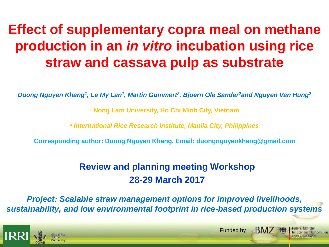# **Effect of supplementary copra meal on methane production in an** *in vitro* **incubation using rice straw and cassava pulp as substrate**

*Duong Nguyen Khang<sup>1</sup> , Le My Lan<sup>1</sup> , Martin Gummert<sup>2</sup> , Bjoern Ole Sander<sup>2</sup>and Nguyen Van Hung<sup>2</sup>*

**<sup>1</sup>Nong Lam University, Ho Chi Minh City, Vietnam**

*<sup>2</sup>International Rice Research Institute, Manila City, Philippines*

**Corresponding author: Duong Nguyen Khang. Email: duongnguyenkhang@gmail.com** 

#### **Review and planning meeting Workshop 28-29 March 2017**

*Project: Scalable straw management options for improved livelihoods, sustainability, and low environmental footprint in rice-based production systems*

Funded by

**BM7 · 绿** 

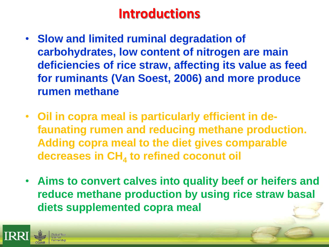## **Introductions**

- **Slow and limited ruminal degradation of carbohydrates, low content of nitrogen are main deficiencies of rice straw, affecting its value as feed for ruminants (Van Soest, 2006) and more produce rumen methane**
- **Oil in copra meal is particularly efficient in defaunating rumen and reducing methane production. Adding copra meal to the diet gives comparable decreases in CH<sup>4</sup> to refined coconut oil**
- **Aims to convert calves into quality beef or heifers and reduce methane production by using rice straw basal diets supplemented copra meal**

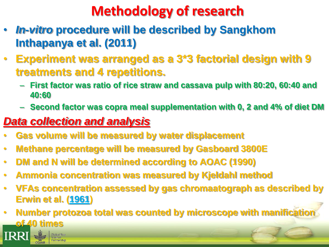# **Methodology of research**

- *In-vitro* **procedure will be described by Sangkhom Inthapanya et al. (2011)**
- **Experiment was arranged as a 3\*3 factorial design with 9 treatments and 4 repetitions.** 
	- **First factor was ratio of rice straw and cassava pulp with 80:20, 60:40 and 40:60**
	- **Second factor was copra meal supplementation with 0, 2 and 4% of diet DM**

#### *Data collection and analysis*

- **Gas volume will be measured by water displacement**
- **Methane percentage will be measured by Gasboard 3800E**
- **DM and N will be determined according to AOAC (1990)**
- **Ammonia concentration was measured by Kjeldahl method**
- **VFAs concentration assessed by gas chromaatograph as described by Erwin et al. ([1961](http://www.tandfonline.com/doi/full/10.1080/1828051X.2016.1249420))**

**• Number protozoa total was counted by microscope with manificationally of 40 times**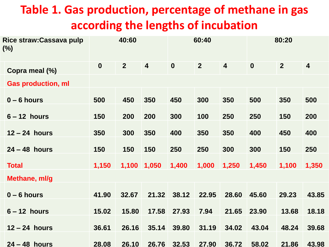### **Table 1. Gas production, percentage of methane in gas according the lengths of incubation**

| Rice straw: Cassava pulp<br>$(\%)$ | 40:60            |                | 60:40                   |             |                | 80:20                   |                  |                |                         |
|------------------------------------|------------------|----------------|-------------------------|-------------|----------------|-------------------------|------------------|----------------|-------------------------|
| Copra meal (%)                     | $\boldsymbol{0}$ | 2 <sup>1</sup> | $\overline{\mathbf{4}}$ | $\mathbf 0$ | 2 <sup>2</sup> | $\overline{\mathbf{4}}$ | $\boldsymbol{0}$ | $\overline{2}$ | $\overline{\mathbf{4}}$ |
| <b>Gas production, ml</b>          |                  |                |                         |             |                |                         |                  |                |                         |
| $0 - 6$ hours                      | 500              | 450            | 350                     | 450         | 300            | 350                     | 500              | 350            | 500                     |
| $6 - 12$ hours                     | 150              | 200            | 200                     | 300         | 100            | 250                     | 250              | 150            | 200                     |
| $12 - 24$ hours                    | 350              | 300            | 350                     | 400         | 350            | 350                     | 400              | 450            | 400                     |
| $24 - 48$ hours                    | 150              | 150            | 150                     | 250         | 250            | 300                     | 300              | 150            | 250                     |
| <b>Total</b>                       | 1,150            | 1,100          | 1,050                   | 1,400       | 1,000          | 1,250                   | 1,450            | 1,100          | 1,350                   |
| Methane, ml/g                      |                  |                |                         |             |                |                         |                  |                |                         |
| $0 - 6$ hours                      | 41.90            | 32.67          | 21.32                   | 38.12       | 22.95          | 28.60                   | 45.60            | 29.23          | 43.85                   |
| $6 - 12$ hours                     | 15.02            | 15.80          | 17.58                   | 27.93       | 7.94           | 21.65                   | 23.90            | 13.68          | 18.18                   |
| $12 - 24$ hours                    | 36.61            | 26.16          | 35.14                   | 39.80       | 31.19          | 34.02                   | 43.04            | 48.24          | 39.68                   |
| $24 - 48$ hours                    | 28.08            | 26.10          |                         | 26.76 32.53 | 27.90          | 36.72                   | 58.02            | 21.86          | 43.98                   |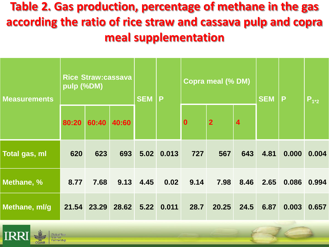**Table 2. Gas production, percentage of methane in the gas according the ratio of rice straw and cassava pulp and copra meal supplementation**

| <b>Measurements</b> | <b>Rice Straw:cassava</b><br>pulp (%DM) |                   |       | <b>SEM</b> | P          | <b>Copra meal (% DM)</b> |                |                         | <b>SEM</b> | P     | $P_{1*2}$ |
|---------------------|-----------------------------------------|-------------------|-------|------------|------------|--------------------------|----------------|-------------------------|------------|-------|-----------|
|                     | 80:20                                   | 60:40             | 40:60 |            |            | $\boldsymbol{0}$         | $\overline{2}$ | $\overline{\mathbf{4}}$ |            |       |           |
| Total gas, ml       | 620                                     | 623               | 693   |            | 5.02 0.013 | 727                      | 567            | 643                     | 4.81       | 0.000 | 0.004     |
| Methane, %          | 8.77                                    | 7.68              | 9.13  | 4.45       | 0.02       | 9.14                     | 7.98           | 8.46                    | 2.65       | 0.086 | 0.994     |
| Methane, ml/g       |                                         | 21.54 23.29 28.62 |       |            | 5.22 0.011 | 28.7                     | 20.25          | 24.5                    | 6.87       | 0.003 | 0.657     |

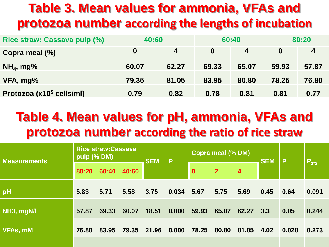### **Table 3. Mean values for ammonia, VFAs and protozoa number according the lengths of incubation**

| Rice straw: Cassava pulp (%)         | 40:60    |       |          | 60:40 | 80:20 |                  |  |
|--------------------------------------|----------|-------|----------|-------|-------|------------------|--|
| Copra meal (%)                       | $\bf{0}$ | 4     | $\bf{0}$ | 4     | 0     | $\boldsymbol{4}$ |  |
| $NH4$ , mg%                          | 60.07    | 62.27 | 69.33    | 65.07 | 59.93 | 57.87            |  |
| VFA, mg%                             | 79.35    | 81.05 | 83.95    | 80.80 | 78.25 | 76.80            |  |
| Protozoa (x10 <sup>5</sup> cells/ml) | 0.79     | 0.82  | 0.78     | 0.81  | 0.81  | 0.77             |  |

### **Table 4. Mean values for pH, ammonia, VFAs and protozoa number according the ratio of rice straw**

| <b>Measurements</b> | <b>Rice straw:Cassava</b><br>pulp (% DM)                                   |       |       | <b>SEM</b> | $\mathsf{P}$ | <b>Copra meal (% DM)</b> |       |       | <b>SEM</b> | l P   | $P_{1*2}$ |
|---------------------|----------------------------------------------------------------------------|-------|-------|------------|--------------|--------------------------|-------|-------|------------|-------|-----------|
|                     | $\overline{2}$<br>60:40<br>40:60<br>$\overline{4}$<br>$\mathbf 0$<br>80:20 |       |       |            |              |                          |       |       |            |       |           |
| pH                  | 5.83                                                                       | 5.71  | 5.58  | 3.75       | 0.034        | 5.67                     | 5.75  | 5.69  | 0.45       | 0.64  | 0.091     |
| NH3, mgN/l          | 57.87                                                                      | 69.33 | 60.07 | 18.51      | 0.000        | 59.93                    | 65.07 | 62.27 | 3.3        | 0.05  | 0.244     |
| <b>VFAs, mM</b>     | 76.80                                                                      | 83.95 | 79.35 | 21.96      | 0.000        | 78.25                    | 80.80 | 81.05 | 4.02       | 0.028 | 0.273     |
|                     |                                                                            |       |       |            |              |                          |       |       |            |       |           |

**Protozoa, x10<sup>5</sup> cel/ml 0.82 0.78 0.97 2.48 0.099 0.81 0.81 0.77 3.28 0.051 0.001**